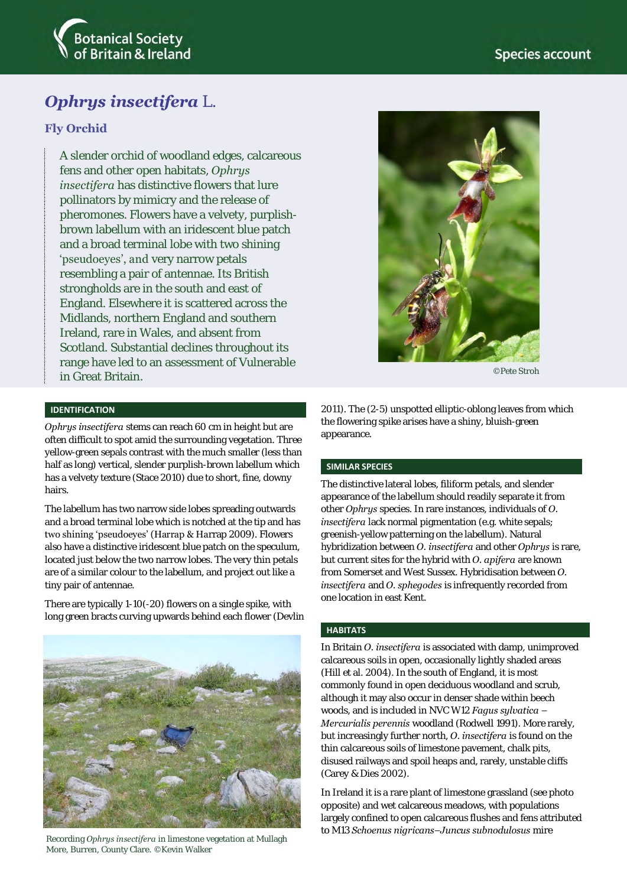

# *Ophrys insectifera* L.

## **Fly Orchid**

A slender orchid of woodland edges, calcareous fens and other open habitats, *Ophrys insectifera* has distinctive flowers that lure pollinators by mimicry and the release of pheromones. Flowers have a velvety, purplishbrown labellum with an iridescent blue patch and a broad terminal lobe with two shining 'pseudoeyes', and very narrow petals resembling a pair of antennae. Its British strongholds are in the south and east of England. Elsewhere it is scattered across the Midlands, northern England and southern Ireland, rare in Wales, and absent from Scotland. Substantial declines throughout its range have led to an assessment of Vulnerable in Great Britain.

### **IDENTIFICATION**

*Ophrys insectifera* stems can reach 60 cm in height but are often difficult to spot amid the surrounding vegetation. Three yellow-green sepals contrast with the much smaller (less than half as long) vertical, slender purplish-brown labellum which has a velvety texture (Stace 2010) due to short, fine, downy hairs.

The labellum has two narrow side lobes spreading outwards and a broad terminal lobe which is notched at the tip and has two shining 'pseudoeyes' (Harrap & Harrap 2009). Flowers also have a distinctive iridescent blue patch on the speculum, located just below the two narrow lobes. The very thin petals are of a similar colour to the labellum, and project out like a tiny pair of antennae.

There are typically 1-10(-20) flowers on a single spike, with long green bracts curving upwards behind each flower (Devlin



Recording *Ophrys insectifera* in limestone vegetation at Mullagh More, Burren, County Clare. ©Kevin Walker



©Pete Stroh

2011). The (2-5) unspotted elliptic-oblong leaves from which the flowering spike arises have a shiny, bluish-green appearance.

#### **SIMILAR SPECIES**

The distinctive lateral lobes, filiform petals, and slender appearance of the labellum should readily separate it from other *Ophrys* species. In rare instances, individuals of *O. insectifera* lack normal pigmentation (e.g. white sepals; greenish-yellow patterning on the labellum). Natural hybridization between *O. insectifera* and other *Ophrys* is rare, but current sites for the hybrid with *O. apifera* are known from Somerset and West Sussex. Hybridisation between *O. insectifera* and *O. sphegodes* is infrequently recorded from one location in east Kent.

#### **HABITATS**

In Britain *O. insectifera* is associated with damp, unimproved calcareous soils in open, occasionally lightly shaded areas (Hill et al. 2004). In the south of England, it is most commonly found in open deciduous woodland and scrub, although it may also occur in denser shade within beech woods, and is included in NVC W12 *Fagus sylvatica – Mercurialis perennis* woodland (Rodwell 1991). More rarely, but increasingly further north, *O. insectifera* is found on the thin calcareous soils of limestone pavement, chalk pits, disused railways and spoil heaps and, rarely, unstable cliffs (Carey & Dies 2002).

In Ireland it is a rare plant of limestone grassland (see photo opposite) and wet calcareous meadows, with populations largely confined to open calcareous flushes and fens attributed to M13 *Schoenus nigricans–Juncus subnodulosus* mire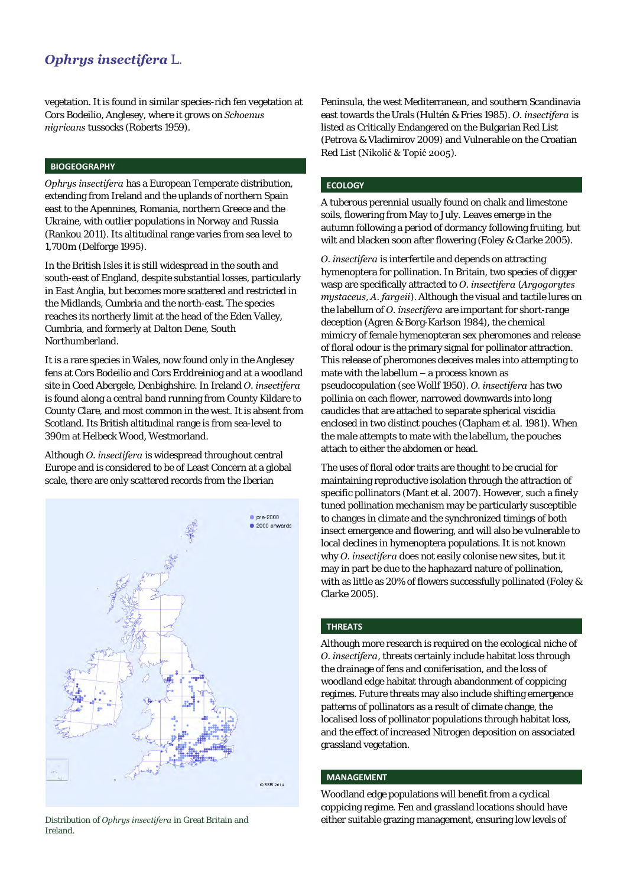# *Ophrys insectifera* L.

vegetation. It is found in similar species-rich fen vegetation at Cors Bodeilio, Anglesey, where it grows on *Schoenus nigricans* tussocks (Roberts 1959).

#### **BIOGEOGRAPHY**

*Ophrys insectifera* has a European Temperate distribution, extending from Ireland and the uplands of northern Spain east to the Apennines, Romania, northern Greece and the Ukraine, with outlier populations in Norway and Russia (Rankou 2011). Its altitudinal range varies from sea level to 1,700m (Delforge 1995).

In the British Isles it is still widespread in the south and south-east of England, despite substantial losses, particularly in East Anglia, but becomes more scattered and restricted in the Midlands, Cumbria and the north-east. The species reaches its northerly limit at the head of the Eden Valley, Cumbria, and formerly at Dalton Dene, South Northumberland.

It is a rare species in Wales, now found only in the Anglesey fens at Cors Bodeilio and Cors Erddreiniog and at a woodland site in Coed Abergele, Denbighshire. In Ireland *O. insectifera*  is found along a central band running from County Kildare to County Clare, and most common in the west. It is absent from Scotland. Its British altitudinal range is from sea-level to 390m at Helbeck Wood, Westmorland.

Although *O. insectifera* is widespread throughout central Europe and is considered to be of Least Concern at a global scale, there are only scattered records from the Iberian



Ireland.

Peninsula, the west Mediterranean, and southern Scandinavia east towards the Urals (Hultén & Fries 1985). *O. insectifera* is listed as Critically Endangered on the Bulgarian Red List (Petrova & Vladimirov 2009) and Vulnerable on the Croatian Red List (Nikolić & Topić 2005).

#### **ECOLOGY**

A tuberous perennial usually found on chalk and limestone soils, flowering from May to July. Leaves emerge in the autumn following a period of dormancy following fruiting, but wilt and blacken soon after flowering (Foley & Clarke 2005).

*O. insectifera* is interfertile and depends on attracting hymenoptera for pollination. In Britain, two species of digger wasp are specifically attracted to *O. insectifera* (*Argogorytes mystaceus*, *A. fargeii*). Although the visual and tactile lures on the labellum of *O. insectifera* are important for short-range deception (Agren & Borg-Karlson 1984), the chemical mimicry of female hymenopteran sex pheromones and release of floral odour is the primary signal for pollinator attraction. This release of pheromones deceives males into attempting to mate with the labellum – a process known as pseudocopulation (see Wollf 1950). *O. insectifera* has two pollinia on each flower, narrowed downwards into long caudicles that are attached to separate spherical viscidia enclosed in two distinct pouches (Clapham et al. 1981). When the male attempts to mate with the labellum, the pouches attach to either the abdomen or head.

The uses of floral odor traits are thought to be crucial for maintaining reproductive isolation through the attraction of specific pollinators (Mant et al. 2007). However, such a finely tuned pollination mechanism may be particularly susceptible to changes in climate and the synchronized timings of both insect emergence and flowering, and will also be vulnerable to local declines in hymenoptera populations. It is not known why *O. insectifera* does not easily colonise new sites, but it may in part be due to the haphazard nature of pollination, with as little as 20% of flowers successfully pollinated (Foley & Clarke 2005).

### **THREATS**

Although more research is required on the ecological niche of *O. insectifera*, threats certainly include habitat loss through the drainage of fens and coniferisation, and the loss of woodland edge habitat through abandonment of coppicing regimes. Future threats may also include shifting emergence patterns of pollinators as a result of climate change, the localised loss of pollinator populations through habitat loss, and the effect of increased Nitrogen deposition on associated grassland vegetation.

#### **MANAGEMENT**

Woodland edge populations will benefit from a cyclical coppicing regime. Fen and grassland locations should have Distribution of *Ophrys insectifera* in Great Britain and either suitable grazing management, ensuring low levels of